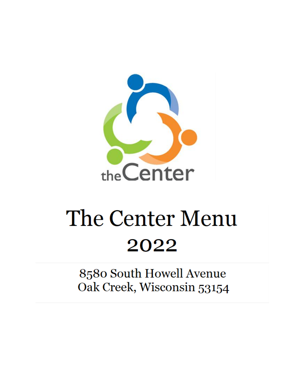

# The Center Menu 2022

8580 South Howell Avenue Oak Creek, Wisconsin 53154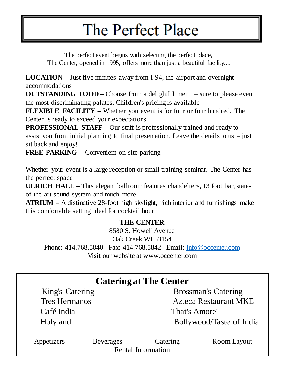# The Perfect Place

The perfect event begins with selecting the perfect place, The Center, opened in 1995, offers more than just a beautiful facility....

**LOCATION –** Just five minutes away from I-94, the airport and overnight accommodations

**OUTSTANDING FOOD –** Choose from a delightful menu – sure to please even the most discriminating palates. Children's pricing is available

**FLEXIBLE FACILITY –** Whether you event is for four or four hundred, The Center is ready to exceed your expectations.

**PROFESSIONAL STAFF –** Our staff is professionally trained and ready to assist you from initial planning to final presentation. Leave the details to us  $-$  just sit back and enjoy!

**FREE PARKING –** Convenient on-site parking

Whether your event is a large reception or small training seminar, The Center has the perfect space

**ULRICH HALL –** This elegant ballroom features chandeliers, 13 foot bar, stateof-the-art sound system and much more

**ATRIUM –** A distinctive 28-foot high skylight, rich interior and furnishings make this comfortable setting ideal for cocktail hour

## **THE CENTER**

8580 S. Howell Avenue

Oak Creek WI 53154

Phone: 414.768.5840 Fax: 414.768.5842 Email: [info@occenter.com](mailto:info@occenter.com) Visit our website at www.occenter.com

| <b>Catering at The Center</b> |                  |                                |                              |  |  |
|-------------------------------|------------------|--------------------------------|------------------------------|--|--|
| King's Catering               |                  |                                | <b>Brossman's Catering</b>   |  |  |
| <b>Tres Hermanos</b>          |                  |                                | <b>Azteca Restaurant MKE</b> |  |  |
| Café India                    |                  |                                | That's Amore'                |  |  |
| Holyland                      |                  | Bollywood/Taste of India       |                              |  |  |
| Appetizers                    | <b>Beverages</b> | Catering<br>Rental Information | Room Layout                  |  |  |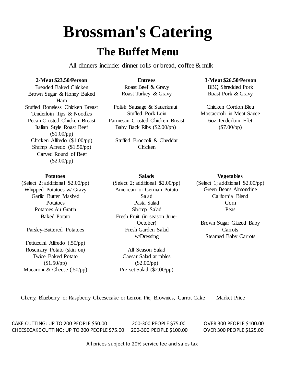# **Brossman's Catering**

## **The Buffet Menu**

All dinners include: dinner rolls or bread, coffee & milk

### **2-Meat \$23.50/Person**

Breaded Baked Chicken Brown Sugar & Honey Baked Ham Stuffed Boneless Chicken Breast Tenderloin Tips & Noodles Pecan Crusted Chicken Breast Italian Style Roast Beef (\$1.00/pp) Chicken Alfredo (\$1.00/pp) Shrimp Alfredo (\$1.50/pp) Carved Round of Beef (\$2.00/pp)

### **Entrees** Roast Beef & Gravy

Roast Turkey & Gravy

Polish Sausage & Sauerkraut Stuffed Pork Loin Parmesan Crusted Chicken Breast Baby Back Ribs (\$2.00/pp)

Stuffed Broccoli & Cheddar Chicken

**Salads**

#### **3-Meat \$26.50/Person**

BBQ Shredded Pork Roast Pork & Gravy

Chicken Cordon Bleu Mostaccioli in Meat Sauce 6oz Tenderloin Filet (\$7.00/pp)

### **Potatoes**

(Select 2; additional \$2.00/pp) Whipped Potatoes w/ Gravy Garlic Butter Mashed Potatoes Potatoes Au Gratin Baked Potato

Parsley-Buttered Potatoes

Fettuccini Alfredo (.50/pp) Rosemary Potato (skin on) Twice Baked Potato  $($1.50$ /pp $)$ Macaroni & Cheese (.50/pp) (Select 2; additional \$2.00/pp) American or German Potato Salad Pasta Salad Shrimp Salad Fresh Fruit (in season June-October) Fresh Garden Salad w/Dressing

> All Season Salad Caesar Salad at tables  $($2.00$ /pp) Pre-set Salad (\$2.00/pp)

#### **Vegetables**

(Select 1; additional \$2.00/pp) Green Beans Almondine California Blend Corn Peas

Brown Sugar Glazed Baby **Carrots** Steamed Baby Carrots

Cherry, Blueberry or Raspberry Cheesecake or Lemon Pie, Brownies, Carrot Cake Market Price

CAKE CUTTING: UP TO 200 PEOPLE \$50.00 200-300 PEOPLE \$75.00 OVER 300 PEOPLE \$100.00 CHEESECAKE CUTTING: UP TO 200 PEOPLE \$75.00 200-300 PEOPLE \$100.00 OVER 300 PEOPLE \$125.00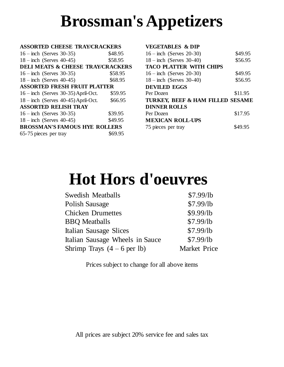# **Brossman's Appetizers**

#### **ASSORTED CHEESE TRAY/CRACKERS**

| $16 - inch$ (Serves 30-35)                   | \$48.95 |
|----------------------------------------------|---------|
| $18 - inch$ (Serves 40-45)                   | \$58.95 |
| <b>DELI MEATS &amp; CHEESE TRAY/CRACKERS</b> |         |
| $16 - inch$ (Serves 30-35)                   | \$58.95 |
| $18 - inch$ (Serves 40-45)                   | \$68.95 |
| <b>ASSORTED FRESH FRUIT PLATTER</b>          |         |
| $16$ – inch (Serves 30-35) April-Oct.        | \$59.95 |
| $18 -$ inch (Serves 40-45) April-Oct.        | \$66.95 |
| <b>ASSORTED RELISH TRAY</b>                  |         |
| $16 - inch$ (Serves 30-35)                   | \$39.95 |
| $18 - inch$ (Serves 40-45)                   | \$49.95 |
| <b>BROSSMAN'S FAMOUS HYE ROLLERS</b>         |         |
| 65-75 pieces per tray                        | \$69.95 |
|                                              |         |

### **VEGETABLES & DIP**

| $16 - inch$ (Serves 20-30)       | \$49.95 |
|----------------------------------|---------|
| $18 - inch$ (Serves 30-40)       | \$56.95 |
| <b>TACO PLATTER WITH CHIPS</b>   |         |
| $16 - inch$ (Serves 20-30)       | \$49.95 |
| $18 - inch$ (Serves 30-40)       | \$56.95 |
| <b>DEVILED EGGS</b>              |         |
|                                  |         |
| Per Dozen                        | \$11.95 |
| TURKEY, BEEF & HAM FILLED SESAME |         |
| <b>DINNER ROLLS</b>              |         |
| Per Dozen                        | \$17.95 |
| <b>MEXICAN ROLL-UPS</b>          |         |
| 75 pieces per tray               | \$49.95 |

# **Hot Hors d'oeuvres**

| <b>Swedish Meatballs</b>        | \$7.99/lb           |
|---------------------------------|---------------------|
| <b>Polish Sausage</b>           | \$7.99/lb           |
| <b>Chicken Drumettes</b>        | \$9.99/lb           |
| <b>BBQ</b> Meatballs            | \$7.99/lb           |
| Italian Sausage Slices          | \$7.99/lb           |
| Italian Sausage Wheels in Sauce | \$7.99/lb           |
| Shrimp Trays $(4-6$ per lb)     | <b>Market Price</b> |

Prices subject to change for all above items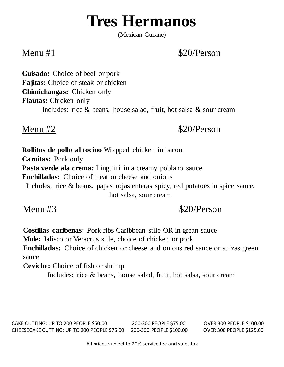# **Tres Hermanos**

(Mexican Cuisine)

## Menu  $#1$  \$20/Person

**Guisado:** Choice of beef or pork **Fajitas:** Choice of steak or chicken **Chimichangas:** Chicken only **Flautas:** Chicken only Includes: rice & beans, house salad, fruit, hot salsa & sour cream

Menu #2  $$20/Person$ 

**Rollitos de pollo al tocino** Wrapped chicken in bacon **Carnitas:** Pork only **Pasta verde ala crema:** Linguini in a creamy poblano sauce **Enchilladas:** Choice of meat or cheese and onions Includes: rice & beans, papas rojas enteras spicy, red potatoes in spice sauce, hot salsa, sour cream

## Menu #3  $$20/Person$

**Costillas caribenas:** Pork ribs Caribbean stile OR in grean sauce **Mole:** Jalisco or Veracrus stile, choice of chicken or pork **Enchilladas:** Choice of chicken or cheese and onions red sauce or suizas green sauce

**Ceviche:** Choice of fish or shrimp

Includes: rice & beans, house salad, fruit, hot salsa, sour cream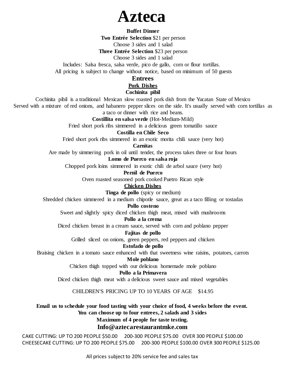## **Azteca**

### **Buffet Dinner**

**Two Entrée Selection** \$21 per person

Choose 3 sides and 1 salad

**Three Entrée Selection** \$23 per person

Choose 3 sides and 1 salad

Includes: Salsa fresca, salsa verde, pico de gallo, corn or flour tortillas.

All pricing is subject to change without notice, based on minimum of 50 guests

## **Entrees**

#### **Pork Dishes**

## **Cochinita pibil**

Cochinita pibil is a traditional Mexican slow roasted pork dish from the Yucatan State of Mexico

Served with a mixture of red onions, and habanero pepper slices on the side. It's usually served with corn tortillas as a taco or dinner with rice and beans.

#### **Costillita en salsa verde** (Hot-Medium-Mild)

Fried short pork ribs simmered in a delicious green tomatillo sauce

#### **Costilla en Chile Seco**

Fried short pork ribs simmered in an exotic morita chili sauce (very hot)

## **Carnitas**

Are made by simmering pork in oil until tender, the process takes three or four hours

### **Lomo de Puerco en salsa roja**

Chopped pork loins simmered in exotic chili de arbol sauce (very hot)

#### **Pernil de Puerco**

Oven roasted seasoned pork cooked Puetro Rican style

### **Chicken Dishes**

**Tinga de pollo** (spicy or medium)

Shredded chicken simmered in a medium chipotle sauce, great as a taco filling or tostadas

#### **Pollo costeno**

Sweet and slightly spicy diced chicken thigh meat, mixed with mushrooms

#### **Pollo a la crema**

Diced chicken breast in a cream sauce, served with corn and poblano pepper

#### **Fajitas de pollo**

Grilled sliced on onions, green peppers, red peppers and chicken

## **Estofado de pollo**

Braising chicken in a tomato sauce enhanced with that sweetness wine raisins, potatoes, carrots

### **Mole poblano**

Chicken thigh topped with our delicious homemade mole poblano

### **Pollo a la Primavera**

Diced chicken thigh meat with a delicious sweet sauce and mixed vegetables

## CHILDREN'S PRICING UP TO 10 YEARS OF AGE \$14.95

## **Email us to schedule your food tasting with your choice of food, 4 weeks before the event. You can choose up to four entrees, 2 salads and 3 sides Maximum of 4 people for taste testing.**

### **Info@aztecarestaurantmke.com**

CAKE CUTTING: UP TO 200 PEOPLE \$50.00 200-300 PEOPLE \$75.00 OVER 300 PEOPLE \$100.00 CHEESECAKE CUTTING: UP TO 200 PEOPLE \$75.00 200-300 PEOPLE \$100.00 OVER 300 PEOPLE \$125.00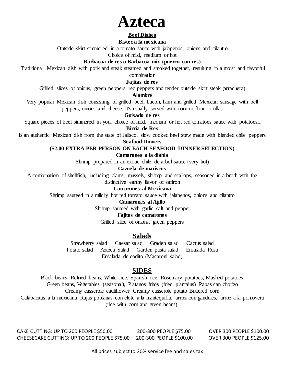

#### **Beef Dishes**

### **Bistec a la mexicana**

Outside skirt simmered in a tomato sauce with jalapenos, onions and cilantro

Choice of mild, medium or hot

### **Barbacoa de res o Barbacoa mix (puerco con res)**

Traditional Mexican dish with pork and steak steamed and smoked together, resulting in a moist and flavorful

combination

**Fajitas de res**

Grilled slices of onions, green peppers, red peppers and tender outside skirt steak (arrachera)

#### **Alambre**

Very popular Mexican dish consisting of grilled beef, bacon, ham and grilled Mexican sausage with bell peppers, onions and cheese. It's usually served with corn or flour tortillas

**Guisado de res**

Square pieces of beef simmered in your choice of mild, medium or hot red tomatoes sauce with potatoesri **Birria de Res**

Is an authentic Mexican dish from the state of Jalisco, slow cooked beef stew made with blended chile peppers

#### **Seafood Dinners**

### **(\$2.00 EXTRA PER PERSON ON EACH SEAFOOD DINNER SELECTION)**

#### **Camarones a la diabla**

Shrimp prepared in an exotic chile de arbol sauce (very hot)

**Cazuela de mariscos**

A combination of shellfish, including clams, mussels, shrimp and scallops, seasoned in a broth with the distinctive earthy flavor of saffron

## **Camarones al Mexicana**

Shrimp sauteed in a mildly hot red tomato sauce with jalapenos, onions and cilantro

#### **Camarones al Ajillo**

Shrimp sauteed with garlic salt and pepper

#### **Fajitas de camarones**

Grilled slice of onions, green peppers

## **Salads**

Strawberry salad Caesar salad Graden salad Cactus salad Potato salad Azteca Salad Garden pasta salad Ensalada Rusa Ensalada de codito (Macaroni salad)

## **SIDES**

Black beans, Refried beans, White rice, Spanish rice, Rosemary potatoes, Mashed potatoes Green beans, Vegetables (seasonal), Platanos fritos (fried plantains) Papas can chorizo Creamy casserole cauliflower Creamy casserole potato Buttered corn Calabacitas a la mexicana Rajas poblanas con elote a la mantequilla, arroz con gandules, arroz a la primovera (rice with corn and green beans)

CAKE CUTTING: UP TO 200 PEOPLE \$50.00 200-300 PEOPLE \$75.00 OVER 300 PEOPLE \$100.00 CHEESECAKE CUTTING: UP TO 200 PEOPLE \$75.00 200-300 PEOPLE \$100.00 OVER 300 PEOPLE \$125.00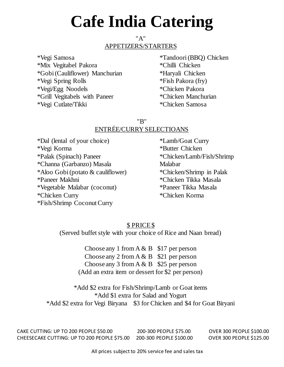# **Cafe India Catering**

## "A" APPETIZERS/STARTERS

\*Vegi Samosa \*Mix Vegitabel Pakora \*Gobi (Cauliflower) Manchurian \*Vegi Spring Rolls \*Vegi/Egg Noodels \*Grill Vegitabels with Paneer \*Vegi Cutlate/Tikki

\*Tandoori (BBQ) Chicken \*Chilli Chicken \*Haryali Chicken \*Fish Pakora (fry) \*Chicken Pakora \*Chicken Manchurian \*Chicken Samosa

## "B" ENTRÉE/CURRY SELECTIOANS

\*Dal (lental of your choice) \*Vegi Korma \*Palak (Spinach) Paneer \*Channa (Garbanzo) Masala \*Aloo Gobi (potato & cauliflower) \*Paneer Makhni \*Vegetable Malabar (coconut) \*Chicken Curry \*Fish/Shrimp Coconut Curry

\*Lamb/Goat Curry \*Butter Chicken \*Chicken/Lamb/Fish/Shrimp Malabar \*Chicken/Shrimp in Palak \*Chicken Tikka Masala \*Paneer Tikka Masala \*Chicken Korma

## \$ PRICE \$

(Served buffet style with your choice of Rice and Naan bread)

Choose any 1 from  $A \& B \quad $17$  per person Choose any 2 from  $A \& B \quad $21$  per person Choose any 3 from  $A \& B$  \$25 per person (Add an extra item or dessert for \$2 per person)

\*Add \$2 extra for Fish/Shrimp/Lamb or Goat items \*Add \$1 extra for Salad and Yogurt \*Add \$2 extra for Vegi Biryana \$3 for Chicken and \$4 for Goat Biryani

CAKE CUTTING: UP TO 200 PEOPLE \$50.00 200-300 PEOPLE \$75.00 OVER 300 PEOPLE \$100.00 CHEESECAKE CUTTING: UP TO 200 PEOPLE \$75.00 200-300 PEOPLE \$100.00 OVER 300 PEOPLE \$125.00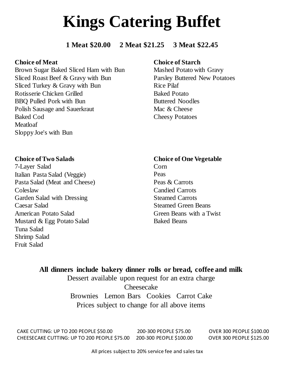# **Kings Catering Buffet**

**1 Meat \$20.00 2 Meat \$21.25 3 Meat \$22.45**

## **Choice of Meat**

Brown Sugar Baked Sliced Ham with Bun Sliced Roast Beef & Gravy with Bun Sliced Turkey & Gravy with Bun Rotisserie Chicken Grilled BBQ Pulled Pork with Bun Polish Sausage and Sauerkraut Baked Cod Meatloaf Sloppy Joe's with Bun

## **Choice of Starch**

Mashed Potato with Gravy Parsley Buttered New Potatoes Rice Pilaf Baked Potato Buttered Noodles Mac & Cheese Cheesy Potatoes

## **Choice of Two Salads**

7-Layer Salad Italian Pasta Salad (Veggie) Pasta Salad (Meat and Cheese) Coleslaw Garden Salad with Dressing Caesar Salad American Potato Salad Mustard & Egg Potato Salad Tuna Salad Shrimp Salad Fruit Salad

## **Choice of One Vegetable**

Corn Peas Peas & Carrots Candied Carrots Steamed Carrots Steamed Green Beans Green Beans with a Twist Baked Beans

**All dinners include bakery dinner rolls or bread, coffee and milk** Dessert available upon request for an extra charge Cheesecake Brownies Lemon Bars Cookies Carrot Cake Prices subject to change for all above items

CAKE CUTTING: UP TO 200 PEOPLE \$50.00 200-300 PEOPLE \$75.00 OVER 300 PEOPLE \$100.00 CHEESECAKE CUTTING: UP TO 200 PEOPLE \$75.00 200-300 PEOPLE \$100.00 OVER 300 PEOPLE \$125.00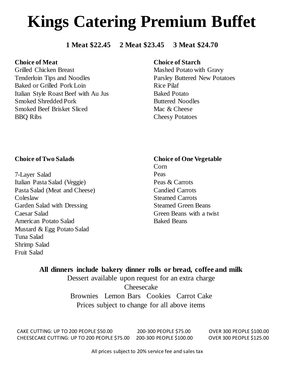# **Kings Catering Premium Buffet**

## **1 Meat \$22.45 2 Meat \$23.45 3 Meat \$24.70**

## **Choice of Meat**

Grilled Chicken Breast Tenderloin Tips and Noodles Baked or Grilled Pork Loin Italian Style Roast Beef with Au Jus Smoked Shredded Pork Smoked Beef Brisket Sliced BBQ Ribs

## **Choice of Starch**

Mashed Potato with Gravy Parsley Buttered New Potatoes Rice Pilaf Baked Potato Buttered Noodles Mac & Cheese Cheesy Potatoes

## **Choice of Two Salads**

7-Layer Salad Italian Pasta Salad (Veggie) Pasta Salad (Meat and Cheese) Coleslaw Garden Salad with Dressing Caesar Salad American Potato Salad Mustard & Egg Potato Salad Tuna Salad Shrimp Salad Fruit Salad

## **Choice of One Vegetable** Corn

Peas Peas & Carrots Candied Carrots Steamed Carrots Steamed Green Beans Green Beans with a twist Baked Beans

**All dinners include bakery dinner rolls or bread, coffee and milk** Dessert available upon request for an extra charge Cheesecake Brownies Lemon Bars Cookies Carrot Cake Prices subject to change for all above items

CAKE CUTTING: UP TO 200 PEOPLE \$50.00 200-300 PEOPLE \$75.00 OVER 300 PEOPLE \$100.00 CHEESECAKE CUTTING: UP TO 200 PEOPLE \$75.00 200-300 PEOPLE \$100.00 OVER 300 PEOPLE \$125.00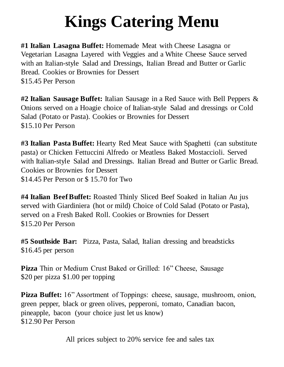# **Kings Catering Menu**

**#1 Italian Lasagna Buffet:** Homemade Meat with Cheese Lasagna or Vegetarian Lasagna Layered with Veggies and a White Cheese Sauce served with an Italian-style Salad and Dressings, Italian Bread and Butter or Garlic Bread. Cookies or Brownies for Dessert \$15.45 Per Person

**#2 Italian Sausage Buffet:** Italian Sausage in a Red Sauce with Bell Peppers & Onions served on a Hoagie choice of Italian-style Salad and dressings or Cold Salad (Potato or Pasta). Cookies or Brownies for Dessert \$15.10 Per Person

**#3 Italian Pasta Buffet:** Hearty Red Meat Sauce with Spaghetti (can substitute pasta) or Chicken Fettuccini Alfredo or Meatless Baked Mostaccioli. Served with Italian-style Salad and Dressings. Italian Bread and Butter or Garlic Bread. Cookies or Brownies for Dessert \$14.45 Per Person or \$ 15.70 for Two

**#4 Italian Beef Buffet:** Roasted Thinly Sliced Beef Soaked in Italian Au jus served with Giardiniera (hot or mild) Choice of Cold Salad (Potato or Pasta), served on a Fresh Baked Roll. Cookies or Brownies for Dessert \$15.20 Per Person

**#5 Southside Bar:** Pizza, Pasta, Salad, Italian dressing and breadsticks \$16.45 per person

**Pizza** Thin or Medium Crust Baked or Grilled: 16" Cheese, Sausage \$20 per pizza \$1.00 per topping

Pizza Buffet: 16" Assortment of Toppings: cheese, sausage, mushroom, onion, green pepper, black or green olives, pepperoni, tomato, Canadian bacon, pineapple, bacon (your choice just let us know) \$12.90 Per Person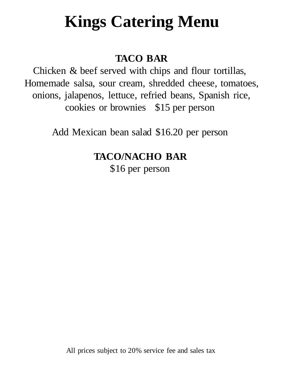# **Kings Catering Menu**

## **TACO BAR**

Chicken & beef served with chips and flour tortillas, Homemade salsa, sour cream, shredded cheese, tomatoes, onions, jalapenos, lettuce, refried beans, Spanish rice, cookies or brownies \$15 per person

Add Mexican bean salad \$16.20 per person

## **TACO/NACHO BAR**

\$16 per person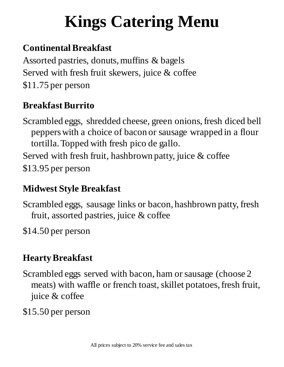# **Kings Catering Menu**

## **Continental Breakfast**

Assorted pastries, donuts, muffins & bagels Served with fresh fruit skewers, juice & coffee \$11.75 per person

## **Breakfast Burrito**

Scrambled eggs, shredded cheese, green onions, fresh diced bell peppers with a choice of bacon or sausage wrapped in a flour tortilla. Topped with fresh pico de gallo.

Served with fresh fruit, hashbrown patty, juice  $\&$  coffee \$13.95 per person

## **Midwest Style Breakfast**

Scrambled eggs, sausage links or bacon, hashbrown patty, fresh fruit, assorted pastries, juice & coffee

\$14.50 per person

## **Hearty Breakfast**

Scrambled eggs served with bacon, ham or sausage (choose 2 meats) with waffle or french toast, skillet potatoes, fresh fruit, juice & coffee

\$15.50 per person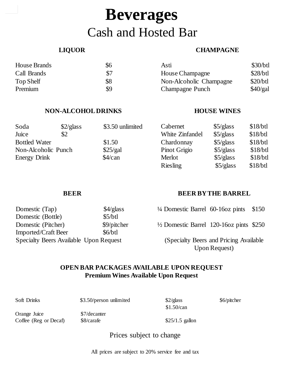## **Beverages** Cash and Hosted Bar

## **LIQUOR**

## **CHAMPAGNE**

| House Brands | \$6 | Asti                    | \$30/btl |
|--------------|-----|-------------------------|----------|
| Call Brands  | \$7 | <b>House Champagne</b>  | \$28/btl |
| Top Shelf    | \$8 | Non-Alcoholic Champagne | \$20/btl |
| Premium      | \$9 | <b>Champagne Punch</b>  | \$40/gal |

## **NON-ALCOHOL DRINKS**

## **HOUSE WINES**

| Soda                 | $\frac{2}{glass}$ | \$3.50 unlimited | Cabernet        | \$5/glass | $$18/b$ tl |
|----------------------|-------------------|------------------|-----------------|-----------|------------|
| Juice                | \$2               |                  | White Zinfandel | \$5/glass | \$18/btl   |
| <b>Bottled Water</b> |                   | \$1.50           | Chardonnay      | \$5/glass | $$18/b$ tl |
| Non-Alcoholic Punch  |                   | \$25/gal         | Pinot Grigio    | \$5/glass | $$18/b$ tl |
| <b>Energy Drink</b>  |                   | \$4/can          | Merlot          | \$5/glass | $$18/b$ tl |
|                      |                   |                  | <b>Riesling</b> | \$5/glass | \$18/btl   |

## **BEER**

## **BEER BY THE BARREL**

| Domestic (Tap)                         | $\frac{4}{glass}$ |
|----------------------------------------|-------------------|
| Domestic (Bottle)                      | \$5/btl           |
| Domestic (Pitcher)                     | \$9/pitcher       |
| <b>Imported/Craft Beer</b>             | \$6/btl           |
| Specialty Beers Available Upon Request |                   |

| $\frac{1}{4}$ Domestic Barrel 60-160z pints \$150 |  |
|---------------------------------------------------|--|
|                                                   |  |

½ Domestic Barrel 120-16oz pints \$250

(Specialty Beers and Pricing Available Upon Request)

## **OPEN BAR PACKAGES AVAILABLE UPON REQUEST Premium Wines Available Upon Request**

| Soft Drinks                           | \$3.50/person unlimited    | \$2/glass<br>\$1.50/can | \$6/pitcher |
|---------------------------------------|----------------------------|-------------------------|-------------|
| Orange Juice<br>Coffee (Reg or Decaf) | \$7/decanter<br>\$8/carafe | $$25/1.5$ gallon        |             |

Prices subject to change